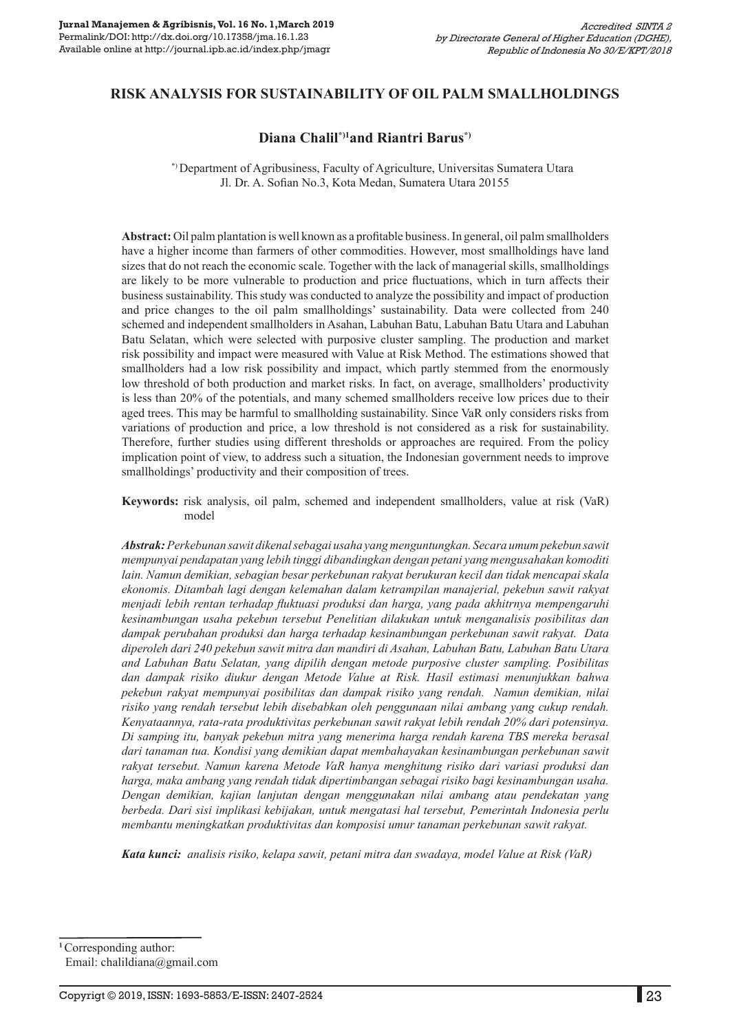## **RISK ANALYSIS FOR SUSTAINABILITY OF OIL PALM SMALLHOLDINGS**

#### **Diana Chalil\*)1and Riantri Barus\*)**

 \*) Department of Agribusiness, Faculty of Agriculture, Universitas Sumatera Utara Jl. Dr. A. Sofian No.3, Kota Medan, Sumatera Utara 20155

**Abstract:** Oil palm plantation is well known as a profitable business. In general, oil palm smallholders have a higher income than farmers of other commodities. However, most smallholdings have land sizes that do not reach the economic scale. Together with the lack of managerial skills, smallholdings are likely to be more vulnerable to production and price fluctuations, which in turn affects their business sustainability. This study was conducted to analyze the possibility and impact of production and price changes to the oil palm smallholdings' sustainability. Data were collected from 240 schemed and independent smallholders in Asahan, Labuhan Batu, Labuhan Batu Utara and Labuhan Batu Selatan, which were selected with purposive cluster sampling. The production and market risk possibility and impact were measured with Value at Risk Method. The estimations showed that smallholders had a low risk possibility and impact, which partly stemmed from the enormously low threshold of both production and market risks. In fact, on average, smallholders' productivity is less than 20% of the potentials, and many schemed smallholders receive low prices due to their aged trees. This may be harmful to smallholding sustainability. Since VaR only considers risks from variations of production and price, a low threshold is not considered as a risk for sustainability. Therefore, further studies using different thresholds or approaches are required. From the policy implication point of view, to address such a situation, the Indonesian government needs to improve smallholdings' productivity and their composition of trees.

**Keywords:** risk analysis, oil palm, schemed and independent smallholders, value at risk (VaR) model

*Abstrak: Perkebunan sawit dikenal sebagai usaha yang menguntungkan. Secara umum pekebun sawit mempunyai pendapatan yang lebih tinggi dibandingkan dengan petani yang mengusahakan komoditi lain. Namun demikian, sebagian besar perkebunan rakyat berukuran kecil dan tidak mencapai skala ekonomis. Ditambah lagi dengan kelemahan dalam ketrampilan manajerial, pekebun sawit rakyat menjadi lebih rentan terhadap fluktuasi produksi dan harga, yang pada akhitrnya mempengaruhi kesinambungan usaha pekebun tersebut Penelitian dilakukan untuk menganalisis posibilitas dan dampak perubahan produksi dan harga terhadap kesinambungan perkebunan sawit rakyat. Data diperoleh dari 240 pekebun sawit mitra dan mandiri di Asahan, Labuhan Batu, Labuhan Batu Utara and Labuhan Batu Selatan, yang dipilih dengan metode purposive cluster sampling. Posibilitas dan dampak risiko diukur dengan Metode Value at Risk. Hasil estimasi menunjukkan bahwa pekebun rakyat mempunyai posibilitas dan dampak risiko yang rendah. Namun demikian, nilai risiko yang rendah tersebut lebih disebabkan oleh penggunaan nilai ambang yang cukup rendah. Kenyataannya, rata-rata produktivitas perkebunan sawit rakyat lebih rendah 20% dari potensinya. Di samping itu, banyak pekebun mitra yang menerima harga rendah karena TBS mereka berasal dari tanaman tua. Kondisi yang demikian dapat membahayakan kesinambungan perkebunan sawit rakyat tersebut. Namun karena Metode VaR hanya menghitung risiko dari variasi produksi dan harga, maka ambang yang rendah tidak dipertimbangan sebagai risiko bagi kesinambungan usaha. Dengan demikian, kajian lanjutan dengan menggunakan nilai ambang atau pendekatan yang berbeda. Dari sisi implikasi kebijakan, untuk mengatasi hal tersebut, Pemerintah Indonesia perlu membantu meningkatkan produktivitas dan komposisi umur tanaman perkebunan sawit rakyat.* 

*Kata kunci: analisis risiko, kelapa sawit, petani mitra dan swadaya, model Value at Risk (VaR)*

**<sup>1</sup>**Corresponding author: Email: chalildiana@gmail.com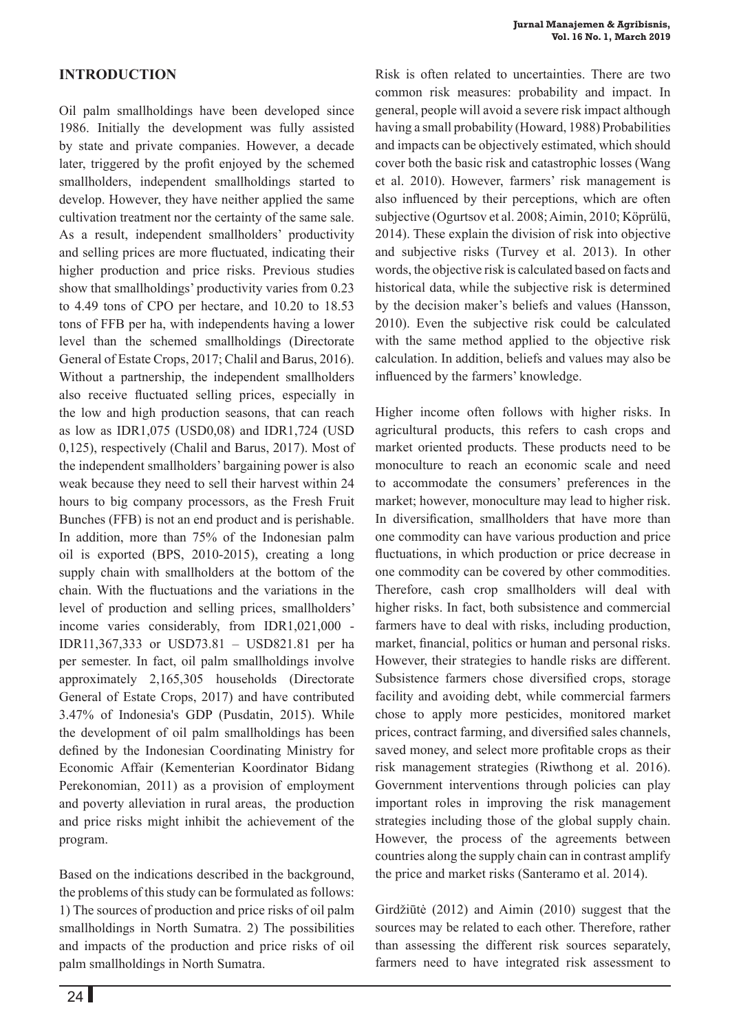# **INTRODUCTION**

Oil palm smallholdings have been developed since 1986. Initially the development was fully assisted by state and private companies. However, a decade later, triggered by the profit enjoyed by the schemed smallholders, independent smallholdings started to develop. However, they have neither applied the same cultivation treatment nor the certainty of the same sale. As a result, independent smallholders' productivity and selling prices are more fluctuated, indicating their higher production and price risks. Previous studies show that smallholdings' productivity varies from 0.23 to 4.49 tons of CPO per hectare, and 10.20 to 18.53 tons of FFB per ha, with independents having a lower level than the schemed smallholdings (Directorate General of Estate Crops, 2017; Chalil and Barus, 2016). Without a partnership, the independent smallholders also receive fluctuated selling prices, especially in the low and high production seasons, that can reach as low as IDR1,075 (USD0,08) and IDR1,724 (USD 0,125), respectively (Chalil and Barus, 2017). Most of the independent smallholders' bargaining power is also weak because they need to sell their harvest within 24 hours to big company processors, as the Fresh Fruit Bunches (FFB) is not an end product and is perishable. In addition, more than 75% of the Indonesian palm oil is exported (BPS, 2010-2015), creating a long supply chain with smallholders at the bottom of the chain. With the fluctuations and the variations in the level of production and selling prices, smallholders' income varies considerably, from IDR1,021,000 - IDR11,367,333 or USD73.81 – USD821.81 per ha per semester. In fact, oil palm smallholdings involve approximately 2,165,305 households (Directorate General of Estate Crops, 2017) and have contributed 3.47% of Indonesia's GDP (Pusdatin, 2015). While the development of oil palm smallholdings has been defined by the Indonesian Coordinating Ministry for Economic Affair (Kementerian Koordinator Bidang Perekonomian, 2011) as a provision of employment and poverty alleviation in rural areas, the production and price risks might inhibit the achievement of the program.

Based on the indications described in the background, the problems of this study can be formulated as follows: 1) The sources of production and price risks of oil palm smallholdings in North Sumatra. 2) The possibilities and impacts of the production and price risks of oil palm smallholdings in North Sumatra.

Risk is often related to uncertainties. There are two common risk measures: probability and impact. In general, people will avoid a severe risk impact although having a small probability (Howard, 1988) Probabilities and impacts can be objectively estimated, which should cover both the basic risk and catastrophic losses (Wang et al. 2010). However, farmers' risk management is also influenced by their perceptions, which are often subjective (Ogurtsov et al. 2008; Aimin, 2010; Köprülü, 2014). These explain the division of risk into objective and subjective risks (Turvey et al. 2013). In other words, the objective risk is calculated based on facts and historical data, while the subjective risk is determined by the decision maker's beliefs and values (Hansson, 2010). Even the subjective risk could be calculated with the same method applied to the objective risk calculation. In addition, beliefs and values may also be influenced by the farmers' knowledge.

Higher income often follows with higher risks. In agricultural products, this refers to cash crops and market oriented products. These products need to be monoculture to reach an economic scale and need to accommodate the consumers' preferences in the market; however, monoculture may lead to higher risk. In diversification, smallholders that have more than one commodity can have various production and price fluctuations, in which production or price decrease in one commodity can be covered by other commodities. Therefore, cash crop smallholders will deal with higher risks. In fact, both subsistence and commercial farmers have to deal with risks, including production, market, financial, politics or human and personal risks. However, their strategies to handle risks are different. Subsistence farmers chose diversified crops, storage facility and avoiding debt, while commercial farmers chose to apply more pesticides, monitored market prices, contract farming, and diversified sales channels, saved money, and select more profitable crops as their risk management strategies (Riwthong et al. 2016). Government interventions through policies can play important roles in improving the risk management strategies including those of the global supply chain. However, the process of the agreements between countries along the supply chain can in contrast amplify the price and market risks (Santeramo et al. 2014).

Girdžiūtė (2012) and Aimin (2010) suggest that the sources may be related to each other. Therefore, rather than assessing the different risk sources separately, farmers need to have integrated risk assessment to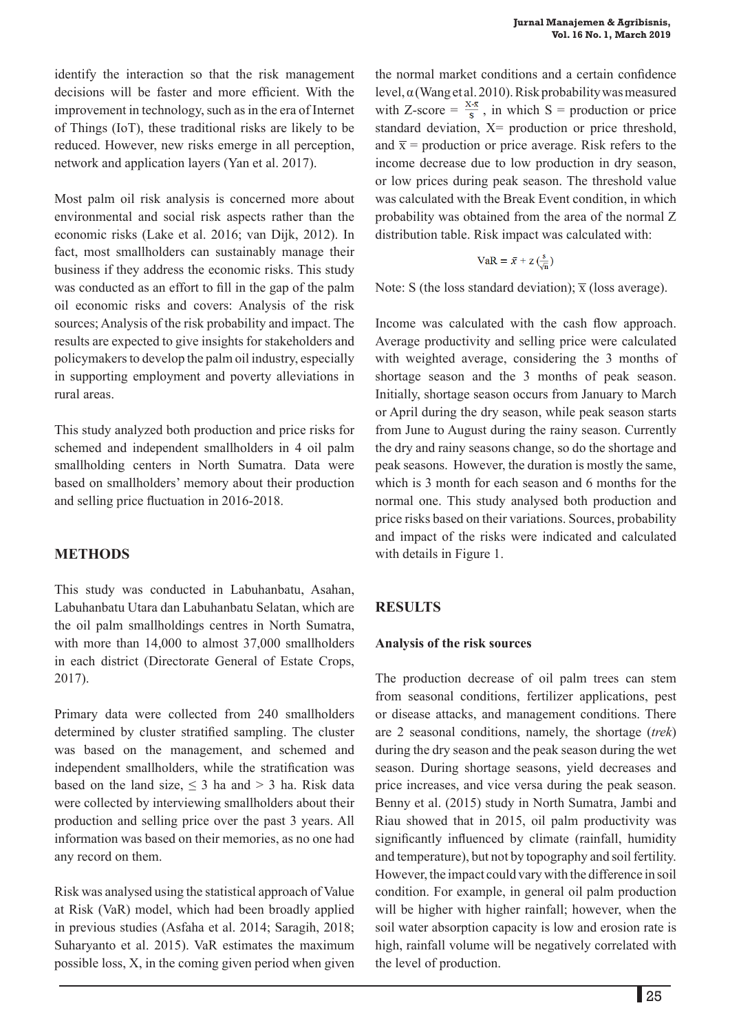identify the interaction so that the risk management decisions will be faster and more efficient. With the improvement in technology, such as in the era of Internet of Things (IoT), these traditional risks are likely to be reduced. However, new risks emerge in all perception, network and application layers (Yan et al. 2017).

Most palm oil risk analysis is concerned more about environmental and social risk aspects rather than the economic risks (Lake et al. 2016; van Dijk, 2012). In fact, most smallholders can sustainably manage their business if they address the economic risks. This study was conducted as an effort to fill in the gap of the palm oil economic risks and covers: Analysis of the risk sources; Analysis of the risk probability and impact. The results are expected to give insights for stakeholders and policymakers to develop the palm oil industry, especially in supporting employment and poverty alleviations in rural areas.

This study analyzed both production and price risks for schemed and independent smallholders in 4 oil palm smallholding centers in North Sumatra. Data were based on smallholders' memory about their production and selling price fluctuation in 2016-2018.

#### **METHODS**

This study was conducted in Labuhanbatu, Asahan, Labuhanbatu Utara dan Labuhanbatu Selatan, which are the oil palm smallholdings centres in North Sumatra, with more than 14,000 to almost 37,000 smallholders in each district (Directorate General of Estate Crops, 2017).

Primary data were collected from 240 smallholders determined by cluster stratified sampling. The cluster was based on the management, and schemed and independent smallholders, while the stratification was based on the land size,  $\leq$  3 ha and > 3 ha. Risk data were collected by interviewing smallholders about their production and selling price over the past 3 years. All information was based on their memories, as no one had any record on them.

Risk was analysed using the statistical approach of Value at Risk (VaR) model, which had been broadly applied in previous studies (Asfaha et al. 2014; Saragih, 2018; Suharyanto et al. 2015). VaR estimates the maximum possible loss, X, in the coming given period when given the normal market conditions and a certain confidence level, α (Wang et al. 2010). Risk probability was measured with Z-score =  $\frac{x \cdot \bar{x}}{s}$ , in which S = production or price standard deviation,  $X=$  production or price threshold, and  $\bar{x}$  = production or price average. Risk refers to the income decrease due to low production in dry season, or low prices during peak season. The threshold value was calculated with the Break Event condition, in which probability was obtained from the area of the normal Z distribution table. Risk impact was calculated with:

$$
VaR = \bar{x} + z\left(\frac{s}{\sqrt{n}}\right)
$$

Note: S (the loss standard deviation);  $\bar{x}$  (loss average).

Income was calculated with the cash flow approach. Average productivity and selling price were calculated with weighted average, considering the 3 months of shortage season and the 3 months of peak season. Initially, shortage season occurs from January to March or April during the dry season, while peak season starts from June to August during the rainy season. Currently the dry and rainy seasons change, so do the shortage and peak seasons. However, the duration is mostly the same, which is 3 month for each season and 6 months for the normal one. This study analysed both production and price risks based on their variations. Sources, probability and impact of the risks were indicated and calculated with details in Figure 1.

#### **RESULTS**

#### **Analysis of the risk sources**

The production decrease of oil palm trees can stem from seasonal conditions, fertilizer applications, pest or disease attacks, and management conditions. There are 2 seasonal conditions, namely, the shortage (*trek*) during the dry season and the peak season during the wet season. During shortage seasons, yield decreases and price increases, and vice versa during the peak season. Benny et al. (2015) study in North Sumatra, Jambi and Riau showed that in 2015, oil palm productivity was significantly influenced by climate (rainfall, humidity and temperature), but not by topography and soil fertility. However, the impact could vary with the difference in soil condition. For example, in general oil palm production will be higher with higher rainfall; however, when the soil water absorption capacity is low and erosion rate is high, rainfall volume will be negatively correlated with the level of production.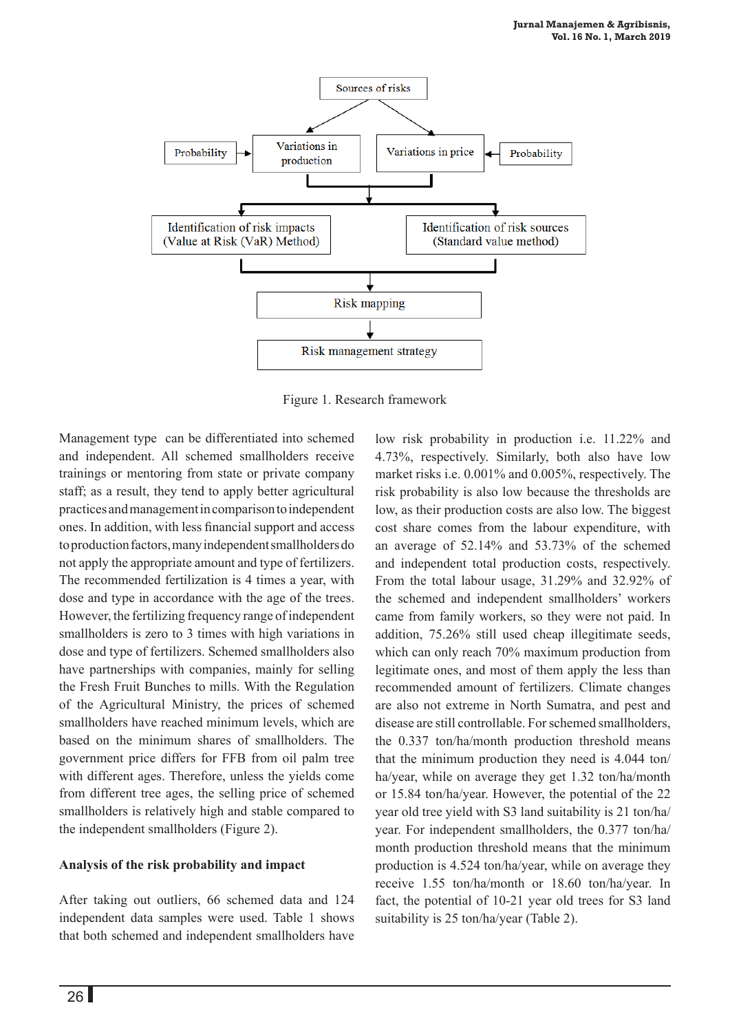

Figure 1. Research framework

Management type can be differentiated into schemed and independent. All schemed smallholders receive trainings or mentoring from state or private company staff; as a result, they tend to apply better agricultural practices and management in comparison to independent ones. In addition, with less financial support and access to production factors, many independent smallholders do not apply the appropriate amount and type of fertilizers. The recommended fertilization is 4 times a year, with dose and type in accordance with the age of the trees. However, the fertilizing frequency range of independent smallholders is zero to 3 times with high variations in dose and type of fertilizers. Schemed smallholders also have partnerships with companies, mainly for selling the Fresh Fruit Bunches to mills. With the Regulation of the Agricultural Ministry, the prices of schemed smallholders have reached minimum levels, which are based on the minimum shares of smallholders. The government price differs for FFB from oil palm tree with different ages. Therefore, unless the yields come from different tree ages, the selling price of schemed smallholders is relatively high and stable compared to the independent smallholders (Figure 2).

## **Analysis of the risk probability and impact**

After taking out outliers, 66 schemed data and 124 independent data samples were used. Table 1 shows that both schemed and independent smallholders have

market risks i.e. 0.001% and 0.005%, respectively. The risk probability is also low because the thresholds are low, as their production costs are also low. The biggest cost share comes from the labour expenditure, with an average of 52.14% and 53.73% of the schemed and independent total production costs, respectively. From the total labour usage, 31.29% and 32.92% of the schemed and independent smallholders' workers came from family workers, so they were not paid. In addition, 75.26% still used cheap illegitimate seeds, which can only reach 70% maximum production from legitimate ones, and most of them apply the less than recommended amount of fertilizers. Climate changes are also not extreme in North Sumatra, and pest and disease are still controllable. For schemed smallholders, the 0.337 ton/ha/month production threshold means that the minimum production they need is 4.044 ton/ ha/year, while on average they get 1.32 ton/ha/month or 15.84 ton/ha/year. However, the potential of the 22 year old tree yield with S3 land suitability is 21 ton/ha/ year. For independent smallholders, the 0.377 ton/ha/ month production threshold means that the minimum production is 4.524 ton/ha/year, while on average they receive 1.55 ton/ha/month or 18.60 ton/ha/year. In fact, the potential of 10-21 year old trees for S3 land suitability is 25 ton/ha/year (Table 2).

low risk probability in production i.e. 11.22% and 4.73%, respectively. Similarly, both also have low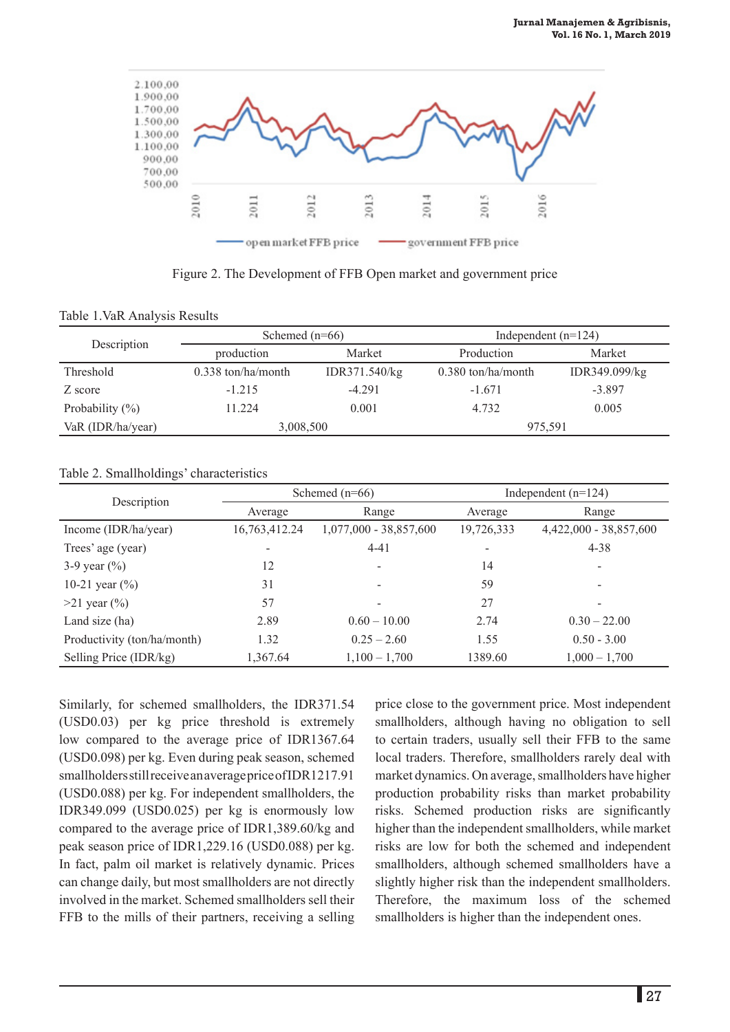

Figure 2. The Development of FFB Open market and government price

|  |  | Table 1. VaR Analysis Results |  |
|--|--|-------------------------------|--|
|--|--|-------------------------------|--|

| Description         | Schemed $(n=66)$     |               | Independent $(n=124)$ |               |
|---------------------|----------------------|---------------|-----------------------|---------------|
|                     | production           | Market        | Production            | Market        |
| Threshold           | $0.338$ ton/ha/month | IDR371.540/kg | $0.380$ ton/ha/month  | IDR349.099/kg |
| Z score             | $-1.215$             | $-4.291$      | $-1.671$              | $-3.897$      |
| Probability $(\% )$ | 11.224               | 0.001         | 4.732                 | 0.005         |
| VaR (IDR/ha/year)   | 3,008,500            |               | 975,591               |               |

Table 2. Smallholdings' characteristics

|                             | Schemed $(n=66)$ |                          | Independent $(n=124)$    |                          |
|-----------------------------|------------------|--------------------------|--------------------------|--------------------------|
| Description                 | Average          | Range                    | Average                  | Range                    |
| Income (IDR/ha/year)        | 16,763,412.24    | $1,077,000 - 38,857,600$ | 19,726,333               | 4,422,000 - 38,857,600   |
| Trees' age (year)           | -                | $4 - 41$                 | $\overline{\phantom{a}}$ | $4 - 38$                 |
| 3-9 year $(\% )$            | 12               |                          | 14                       |                          |
| 10-21 year $(\% )$          | 31               |                          | 59                       | $\overline{\phantom{a}}$ |
| $>21$ year $(\% )$          | 57               |                          | 27                       |                          |
| Land size (ha)              | 2.89             | $0.60 - 10.00$           | 2.74                     | $0.30 - 22.00$           |
| Productivity (ton/ha/month) | 1.32             | $0.25 - 2.60$            | 1.55                     | $0.50 - 3.00$            |
| Selling Price (IDR/kg)      | 1,367.64         | $1,100 - 1,700$          | 1389.60                  | $1,000 - 1,700$          |

Similarly, for schemed smallholders, the IDR371.54 (USD0.03) per kg price threshold is extremely low compared to the average price of IDR1367.64 (USD0.098) per kg. Even during peak season, schemed smallholders still receive an average price of IDR1217.91 (USD0.088) per kg. For independent smallholders, the IDR349.099 (USD0.025) per kg is enormously low compared to the average price of IDR1,389.60/kg and peak season price of IDR1,229.16 (USD0.088) per kg. In fact, palm oil market is relatively dynamic. Prices can change daily, but most smallholders are not directly involved in the market. Schemed smallholders sell their FFB to the mills of their partners, receiving a selling

price close to the government price. Most independent smallholders, although having no obligation to sell to certain traders, usually sell their FFB to the same local traders. Therefore, smallholders rarely deal with market dynamics. On average, smallholders have higher production probability risks than market probability risks. Schemed production risks are significantly higher than the independent smallholders, while market risks are low for both the schemed and independent smallholders, although schemed smallholders have a slightly higher risk than the independent smallholders. Therefore, the maximum loss of the schemed smallholders is higher than the independent ones.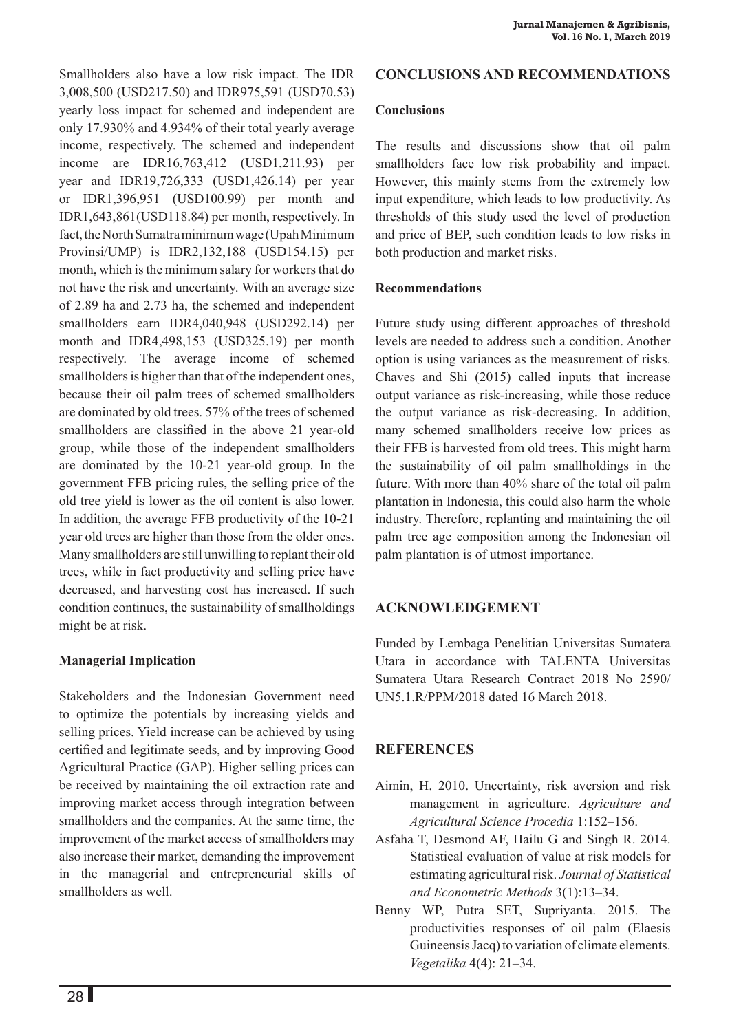Smallholders also have a low risk impact. The IDR 3,008,500 (USD217.50) and IDR975,591 (USD70.53) yearly loss impact for schemed and independent are only 17.930% and 4.934% of their total yearly average income, respectively. The schemed and independent income are IDR16,763,412 (USD1,211.93) per year and IDR19,726,333 (USD1,426.14) per year or IDR1,396,951 (USD100.99) per month and IDR1,643,861(USD118.84) per month, respectively. In fact, the North Sumatra minimum wage (Upah Minimum Provinsi/UMP) is IDR2,132,188 (USD154.15) per month, which is the minimum salary for workers that do not have the risk and uncertainty. With an average size of 2.89 ha and 2.73 ha, the schemed and independent smallholders earn IDR4,040,948 (USD292.14) per month and IDR4,498,153 (USD325.19) per month respectively. The average income of schemed smallholders is higher than that of the independent ones, because their oil palm trees of schemed smallholders are dominated by old trees. 57% of the trees of schemed smallholders are classified in the above 21 year-old group, while those of the independent smallholders are dominated by the 10-21 year-old group. In the government FFB pricing rules, the selling price of the old tree yield is lower as the oil content is also lower. In addition, the average FFB productivity of the 10-21 year old trees are higher than those from the older ones. Many smallholders are still unwilling to replant their old trees, while in fact productivity and selling price have decreased, and harvesting cost has increased. If such condition continues, the sustainability of smallholdings might be at risk.

## **Managerial Implication**

Stakeholders and the Indonesian Government need to optimize the potentials by increasing yields and selling prices. Yield increase can be achieved by using certified and legitimate seeds, and by improving Good Agricultural Practice (GAP). Higher selling prices can be received by maintaining the oil extraction rate and improving market access through integration between smallholders and the companies. At the same time, the improvement of the market access of smallholders may also increase their market, demanding the improvement in the managerial and entrepreneurial skills of smallholders as well.

#### **CONCLUSIONS AND RECOMMENDATIONS**

#### **Conclusions**

The results and discussions show that oil palm smallholders face low risk probability and impact. However, this mainly stems from the extremely low input expenditure, which leads to low productivity. As thresholds of this study used the level of production and price of BEP, such condition leads to low risks in both production and market risks.

## **Recommendations**

Future study using different approaches of threshold levels are needed to address such a condition. Another option is using variances as the measurement of risks. Chaves and Shi (2015) called inputs that increase output variance as risk-increasing, while those reduce the output variance as risk-decreasing. In addition, many schemed smallholders receive low prices as their FFB is harvested from old trees. This might harm the sustainability of oil palm smallholdings in the future. With more than 40% share of the total oil palm plantation in Indonesia, this could also harm the whole industry. Therefore, replanting and maintaining the oil palm tree age composition among the Indonesian oil palm plantation is of utmost importance.

# **ACKNOWLEDGEMENT**

Funded by Lembaga Penelitian Universitas Sumatera Utara in accordance with TALENTA Universitas Sumatera Utara Research Contract 2018 No 2590/ UN5.1.R/PPM/2018 dated 16 March 2018.

## **References**

- Aimin, H. 2010. Uncertainty, risk aversion and risk management in agriculture. *Agriculture and Agricultural Science Procedia* 1:152–156.
- Asfaha T, Desmond AF, Hailu G and Singh R. 2014. Statistical evaluation of value at risk models for estimating agricultural risk. *Journal of Statistical and Econometric Methods* 3(1):13–34.
- Benny WP, Putra SET, Supriyanta. 2015. The productivities responses of oil palm (Elaesis Guineensis Jacq) to variation of climate elements. *Vegetalika* 4(4): 21–34.